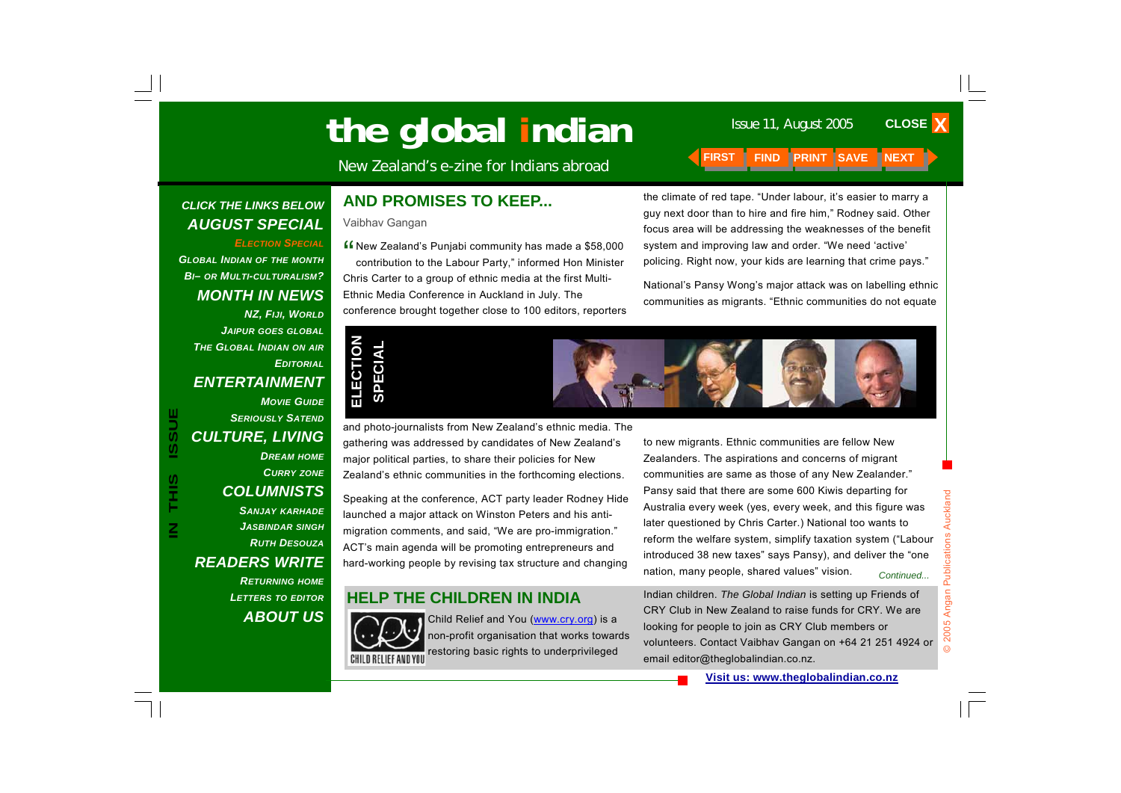# Issue 11, August 2005 **the global indian**

New Zealand's e-zine for Indians abroad **FIRST FIND PRINT SAVE NEXT** 

### *CLICK THE LINKS BELOW AUGUST SPECIAL*

### *ELECTION SPECIAL GLOBAL INDIAN OF THE MONTH BI– OR MULTI-CULTURALISM? MONTH IN NEWS NZ, FIJI, WORLD JAIPUR GOES GLOBAL THE GLOBAL INDIAN ON AIR EDITORIALENTERTAINMENT*

### *CURRY ZONE COLUMNISTS SANJAY KARHADE JASBINDAR SINGH RUTH DESOUZA*

*CULTURE, LIVING* 

*MOVIE GUIDE*

*DREAM HOME*

*SERIOUSLY SATEND*

## *READERS WRITE*

*RETURNING HOME LETTERS TO EDITOR ABOUT US*

## **AND PROMISES TO KEEP...**

#### Vaibhav Gangan

" New Zealand's Punjabi community has made a \$58,000 contribution to the Labour Party," informed Hon Minister Chris Carter to a group of ethnic media at the first Multi-Ethnic Media Conference in Auckland in July. The conference brought together close to 100 editors, reporters





Speaking at the conference, ACT party leader Rodney Hide launched a major attack on Winston Peters and his antimigration comments, and said, "We are pro-immigration." ACT's main agenda will be promoting entrepreneurs and hard-working people by revising tax structure and changing

## **HELP THE CHILDREN IN INDIA**



Child Relief and You (www.cry.org) is a non-profit organisation that works towards restoring basic rights to underprivileged

the climate of red tape. "Under labour, it's easier to marry a guy next door than to hire and fire him," Rodney said. Other focus area will be addressing the weaknesses of the benefit system and improving law and order. "We need 'active' policing. Right now, your kids are learning that crime pays."

National's Pansy Wong's major attack was on labelling ethnic communities as migrants. "Ethnic communities do not equate

to new migrants. Ethnic communities are fellow New Zealanders. The aspirations and concerns of migrant communities are same as those of any New Zealander." Pansy said that there are some 600 Kiwis departing for Australia every week (yes, every week, and this figure was later questioned by Chris Carter.) National too wants to reform the welfare system, simplify taxation system ("Labour introduced 38 new taxes" says Pansy), and deliver the "one nation, many people, shared values" vision. *Continued...* 

Indian children. *The Global Indian* is setting up Friends of CRY Club in New Zealand to raise funds for CRY. We are looking for people to join as CRY Club members or volunteers. Contact Vaibhav Gangan on +64 21 251 4924 or email editor@theglobalindian.co.nz.

**CLOSE X**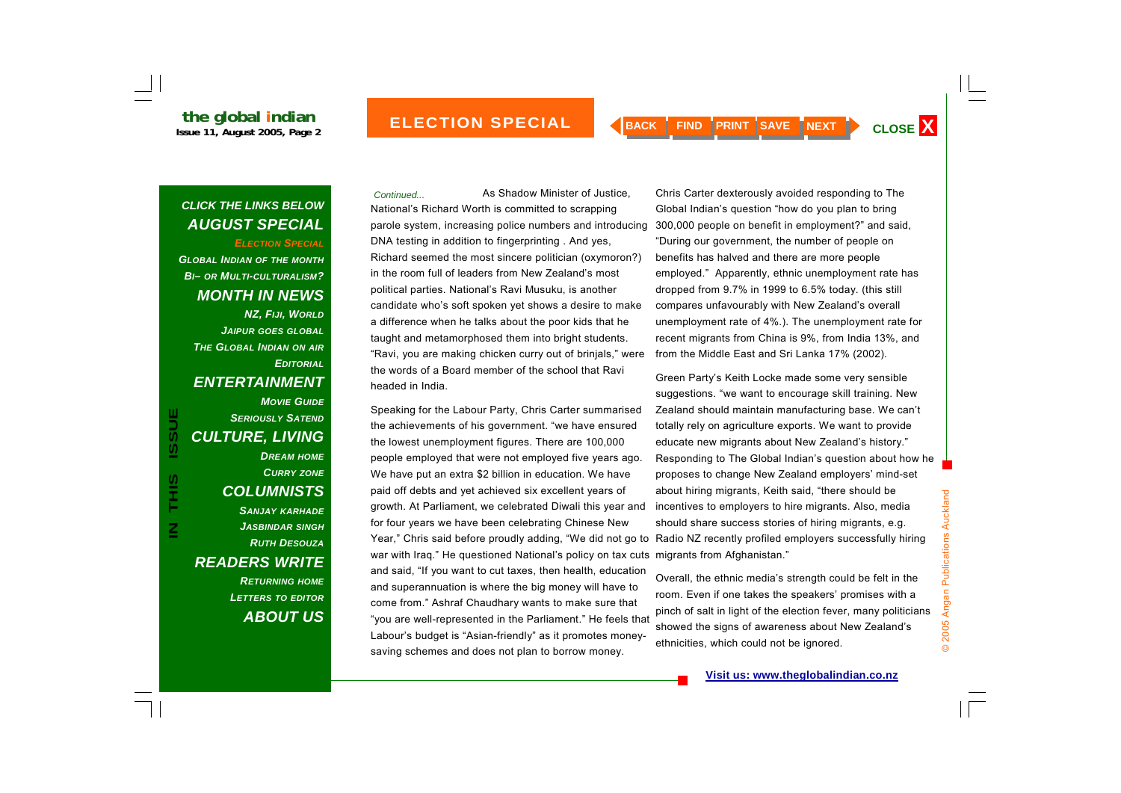*ELECTION SPECIAL GLOBAL INDIAN OF THE MONTH BI– OR MULTI-CULTURALISM? MONTH IN NEWS NZ, FIJI, WORLD JAIPUR GOES GLOBAL THE GLOBAL INDIAN ON AIR EDITORIALENTERTAINMENT MOVIE GUIDESERIOUSLY SATENDCULTURE, LIVING DREAM HOME CURRY ZONE COLUMNISTS SANJAY KARHADE JASBINDAR SINGH RUTH DESOUZA*

## *READERS WRITE*

**IN THIS ISSUE**

S<br>HH

 $\overline{\mathsf{z}}$ 

**ISSUE** 

*RETURNING HOME LETTERS TO EDITOR ABOUT US*

As Shadow Minister of Justice, National's Richard Worth is committed to scrapping parole system, increasing police numbers and introducing DNA testing in addition to fingerprinting . And yes, Richard seemed the most sincere politician (oxymoron?) in the room full of leaders from New Zealand's most political parties. National's Ravi Musuku, is another candidate who's soft spoken yet shows a desire to make a difference when he talks about the poor kids that he taught and metamorphosed them into bright students. "Ravi, you are making chicken curry out of brinjals," were the words of a Board member of the school that Ravi headed in India. *Continued...* 

Speaking for the Labour Party, Chris Carter summarised the achievements of his government. "we have ensured the lowest unemployment figures. There are 100,000 people employed that were not employed five years ago. We have put an extra \$2 billion in education. We have paid off debts and yet achieved six excellent years of growth. At Parliament, we celebrated Diwali this year and for four years we have been celebrating Chinese New Year," Chris said before proudly adding, "We did not go to war with Iraq." He questioned National's policy on tax cuts migrants from Afghanistan." and said, "If you want to cut taxes, then health, education and superannuation is where the big money will have to come from." Ashraf Chaudhary wants to make sure that "you are well-represented in the Parliament." He feels that Labour's budget is "Asian-friendly" as it promotes moneysaving schemes and does not plan to borrow money.

Chris Carter dexterously avoided responding to The Global Indian's question "how do you plan to bring 300,000 people on benefit in employment?" and said, "During our government, the number of people on benefits has halved and there are more people employed." Apparently, ethnic unemployment rate has dropped from 9.7% in 1999 to 6.5% today. (this still compares unfavourably with New Zealand's overall unemployment rate of 4%.). The unemployment rate for recent migrants from China is 9%, from India 13%, and from the Middle East and Sri Lanka 17% (2002).

Green Party's Keith Locke made some very sensible suggestions. "we want to encourage skill training. New Zealand should maintain manufacturing base. We can't totally rely on agriculture exports. We want to provide educate new migrants about New Zealand's history." Responding to The Global Indian's question about how he proposes to change New Zealand employers' mind-set about hiring migrants, Keith said, "there should be incentives to employers to hire migrants. Also, media should share success stories of hiring migrants, e.g. Radio NZ recently profiled employers successfully hiring

Overall, the ethnic media's strength could be felt in the room. Even if one takes the speakers' promises with a pinch of salt in light of the election fever, many politicians showed the signs of awareness about New Zealand's ethnicities, which could not be ignored.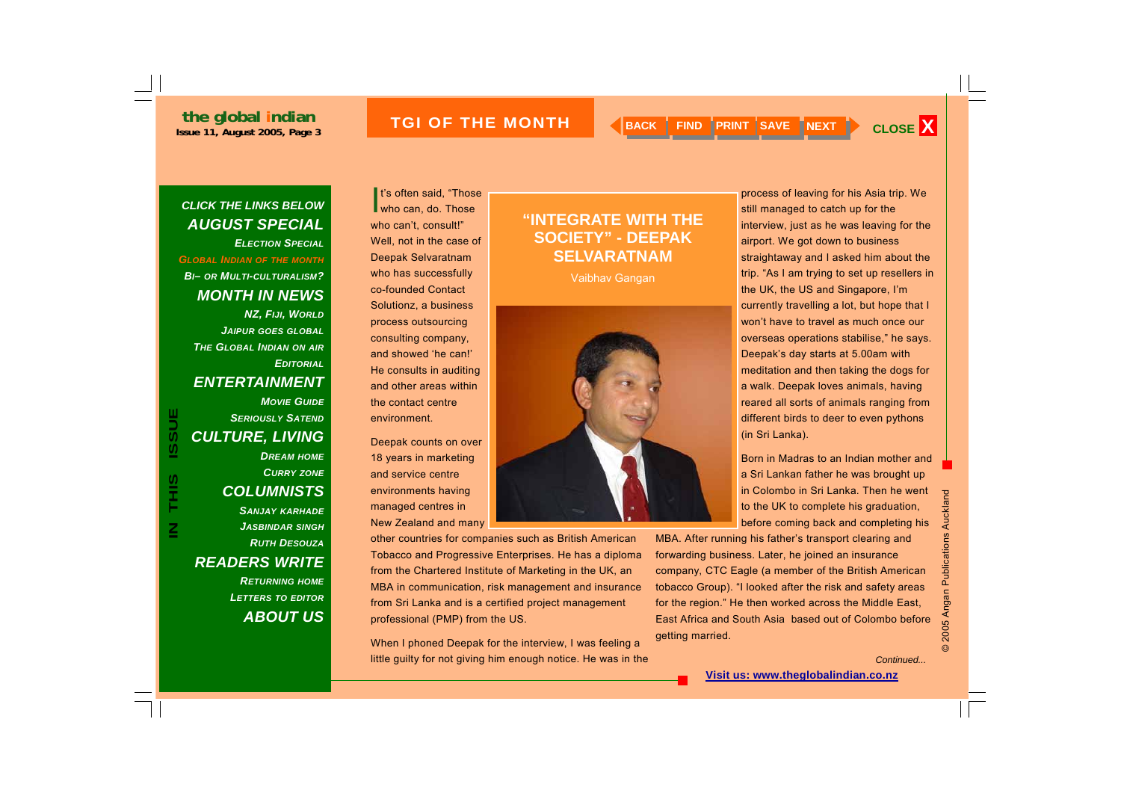## **INDERTHE MONTH AUGUST 2005 CLOSE X AND SAVE NEXT AND SAVE THE MONTH AND SACK FIND SAVE NEXT AND CLOSE X**

## *CLICK THE LINKS BELOW AUGUST SPECIAL ELECTION SPECIAL*

*GLOBAL INDIAN OF THE MONTH BI– OR MULTI-CULTURALISM? MONTH IN NEWS NZ, FIJI, WORLD JAIPUR GOES GLOBAL THE GLOBAL INDIAN ON AIR EDITORIAL*

### *ENTERTAINMENT*

*MOVIE GUIDE*

*SERIOUSLY SATEND*

## *CULTURE, LIVING DREAM HOME CURRY ZONE COLUMNISTS*

*SANJAY KARHADE JASBINDAR SINGH RUTH DESOUZAREADERS WRITE RETURNING HOME LETTERS TO EDITOR*

*ABOUT US*

**I**t's often said, "Those<br>who can, do. Those who can't, consult!" Well, not in the case of Deepak Selvaratnam who has successfully co-founded Contact Solutionz, a business process outsourcing consulting company, and showed 'he can!' He consults in auditing and other areas within the contact centre environment.

Deepak counts on over 18 years in marketing and service centre environments having managed centres in New Zealand and many

other countries for companies such as British American Tobacco and Progressive Enterprises. He has a diploma from the Chartered Institute of Marketing in the UK, an MBA in communication, risk management and insurance from Sri Lanka and is a certified project management professional (PMP) from the US.

When I phoned Deepak for the interview, I was feeling a little guilty for not giving him enough notice. He was in the

## **"INTEGRATE WITH THE SOCIETY" - DEEPAK SELVARATNAM**

Vaibhav Gangan



process of leaving for his Asia trip. We still managed to catch up for the interview, just as he was leaving for the airport. We got down to business straightaway and I asked him about the trip. "As I am trying to set up resellers in the UK, the US and Singapore, I'm currently travelling a lot, but hope that I won't have to travel as much once our overseas operations stabilise," he says. Deepak's day starts at 5.00am with meditation and then taking the dogs for a walk. Deepak loves animals, having reared all sorts of animals ranging from different birds to deer to even pythons (in Sri Lanka).

Born in Madras to an Indian mother and a Sri Lankan father he was brought up in Colombo in Sri Lanka. Then he went to the UK to complete his graduation, before coming back and completing his

MBA. After running his father's transport clearing and forwarding business. Later, he joined an insurance company, CTC Eagle (a member of the British American tobacco Group). "I looked after the risk and safety areas for the region." He then worked across the Middle East, East Africa and South Asia based out of Colombo before getting married.

*Continued...* 

© 2005 Angan Publications Auckland

2005 Angan Publications Auckland

#### **Visit us: www.theglobalindian.co.nz**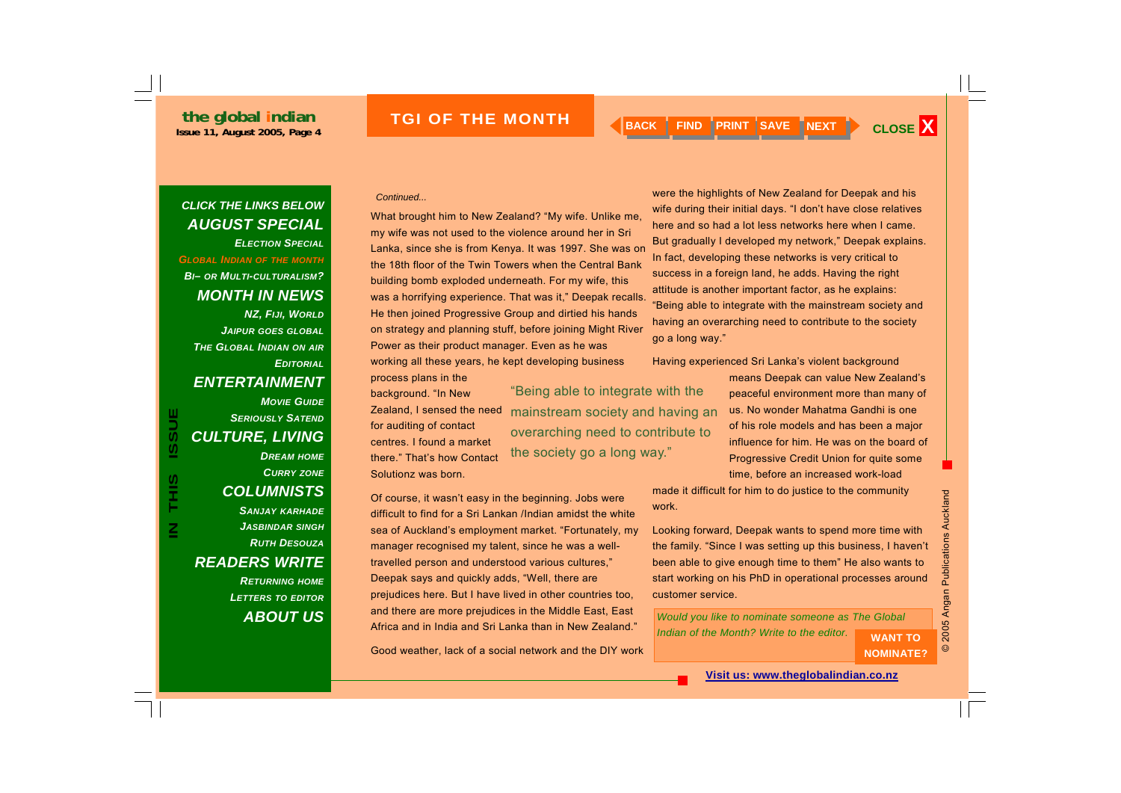### *CLICK THE LINKS BELOW AUGUST SPECIAL ELECTION SPECIALGLOBAL INDIAN OF THE MONTH BI– OR MULTI-CULTURALISM? MONTH IN NEWS NZ, FIJI, WORLD JAIPUR GOES GLOBAL THE GLOBAL INDIAN ON AIR EDITORIAL*

## *ENTERTAINMENT*

### *MOVIE GUIDE SERIOUSLY SATENDCULTURE, LIVING DREAM HOME CURRY ZONE COLUMNISTS*

*SANJAY KARHADE JASBINDAR SINGH RUTH DESOUZAREADERS WRITE RETURNING HOME LETTERS TO EDITOR ABOUT US*

#### *Continued...*

What brought him to New Zealand? "My wife. Unlike me, my wife was not used to the violence around her in Sri Lanka, since she is from Kenya. It was 1997. She was on the 18th floor of the Twin Towers when the Central Bank building bomb exploded underneath. For my wife, this was a horrifying experience. That was it," Deepak recalls. He then joined Progressive Group and dirtied his hands on strategy and planning stuff, before joining Might River Power as their product manager. Even as he was working all these years, he kept developing business process plans in the

background. "In New Zealand, I sensed the need for auditing of contact centres. I found a market there." That's how Contact Solutionz was born.

"Being able to integrate with the mainstream society and having an overarching need to contribute to the society go a long way."

In fact, developing these networks is very critical to success in a foreign land, he adds. Having the right attitude is another important factor, as he explains: "Being able to integrate with the mainstream society and having an overarching need to contribute to the society go a long way." Having experienced Sri Lanka's violent background

were the highlights of New Zealand for Deepak and his wife during their initial days. "I don't have close relatives here and so had a lot less networks here when I came. But gradually I developed my network," Deepak explains.

> means Deepak can value New Zealand's peaceful environment more than many of us. No wonder Mahatma Gandhi is one of his role models and has been a major influence for him. He was on the board of Progressive Credit Union for quite some time, before an increased work-load

made it difficult for him to do justice to the community work.

Looking forward, Deepak wants to spend more time with the family. "Since I was setting up this business, I haven't been able to give enough time to them" He also wants to start working on his PhD in operational processes around customer service.

**NOMINATE?** 

© 2005 Angan Publications Auckland

2005 Angan

 $\odot$ 

**Publications Auckland** 

### *Would you like to nominate someone as The Global*  **Indian of the Month? Write to the editor. WANT TO**

Good weather, lack of a social network and the DIY work

prejudices here. But I have lived in other countries too, and there are more prejudices in the Middle East, East Africa and in India and Sri Lanka than in New Zealand."

Of course, it wasn't easy in the beginning. Jobs were difficult to find for a Sri Lankan /Indian amidst the white sea of Auckland's employment market. "Fortunately, my manager recognised my talent, since he was a welltravelled person and understood various cultures," Deepak says and quickly adds, "Well, there are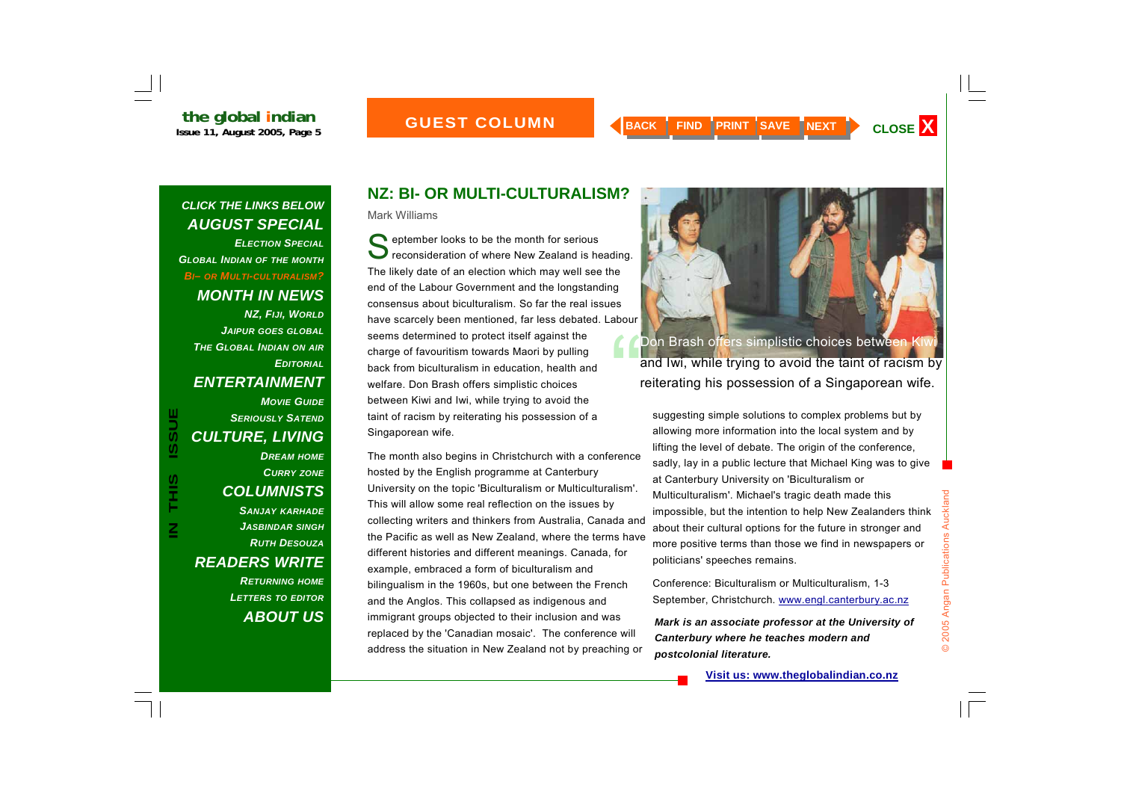#### **GUEST COLUMN MONTH**

### *CLICK THE LINKS BELOW AUGUST SPECIAL*

*ELECTION SPECIALGLOBAL INDIAN OF THE MONTH BI– OR MULTI-CULTURALISM? MONTH IN NEWS NZ, FIJI, WORLD JAIPUR GOES GLOBAL THE GLOBAL INDIAN ON AIR EDITORIALENTERTAINMENT MOVIE GUIDESERIOUSLY SATEND*

**IN THIS ISSUE**

S<br>H<br>H

 $\overline{\mathsf{z}}$ 

**ISSUE** 

*LETTERS TO EDITOR*

*ABOUT US*

## **NZ: BI- OR MULTI-CULTURALISM?**

Mark Williams

September looks to be the month for serious<br>September of where New Zealand is heading. The likely date of an election which may well see the end of the Labour Government and the longstanding consensus about biculturalism. So far the real issues have scarcely been mentioned, far less debated. Labour seems determined to protect itself against the charge of favouritism towards Maori by pulling back from biculturalism in education, health and welfare. Don Brash offers simplistic choices between Kiwi and Iwi, while trying to avoid the taint of racism by reiterating his possession of a Singaporean wife.

The month also begins in Christchurch with a conference hosted by the English programme at Canterbury University on the topic 'Biculturalism or Multiculturalism'. This will allow some real reflection on the issues by collecting writers and thinkers from Australia, Canada and the Pacific as well as New Zealand, where the terms have different histories and different meanings. Canada, for example, embraced a form of biculturalism and bilingualism in the 1960s, but one between the French and the Anglos. This collapsed as indigenous and immigrant groups objected to their inclusion and was replaced by the 'Canadian mosaic'. The conference will address the situation in New Zealand not by preaching or



Don Brash offers simplistic choices between Kiwi<br>and Iwi, while trying to avoid the taint of racism by reiterating his possession of a Singaporean wife.

suggesting simple solutions to complex problems but by allowing more information into the local system and by lifting the level of debate. The origin of the conference, sadly, lay in a public lecture that Michael King was to give at Canterbury University on 'Biculturalism or Multiculturalism'. Michael's tragic death made this impossible, but the intention to help New Zealanders think about their cultural options for the future in stronger and more positive terms than those we find in newspapers or politicians' speeches remains.

Conference: Biculturalism or Multiculturalism, 1-3 September, Christchurch. www.engl.canterbury.ac.nz

*Mark is an associate professor at the University of Canterbury where he teaches modern and postcolonial literature.*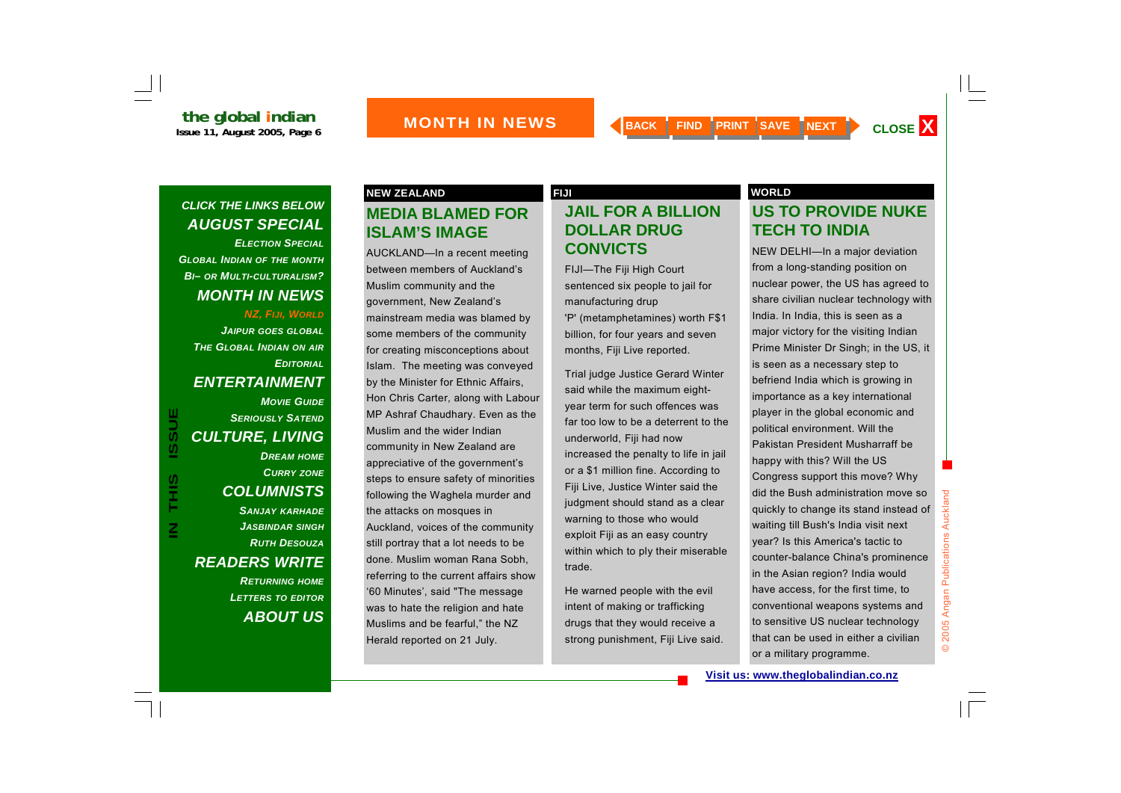*ELECTION SPECIALGLOBAL INDIAN OF THE MONTH BI– OR MULTI-CULTURALISM? MONTH IN NEWS* 

#### *NZ, FIJI, WORLD*

*JAIPUR GOES GLOBAL THE GLOBAL INDIAN ON AIR EDITORIALENTERTAINMENT* 

## *MOVIE GUIDE SERIOUSLY SATENDCULTURE, LIVING DREAM HOME CURRY ZONE COLUMNISTS SANJAY KARHADE*

*JASBINDAR SINGH RUTH DESOUZAREADERS WRITE RETURNING HOME LETTERS TO EDITOR*

*ABOUT US*

## **MEDIA BLAMED FOR ISLAM'S IMAGE**

AUCKLAND—In a recent meeting between members of Auckland's Muslim community and the government, New Zealand's mainstream media was blamed by some members of the community for creating misconceptions about Islam. The meeting was conveyed by the Minister for Ethnic Affairs, Hon Chris Carter, along with Labour MP Ashraf Chaudhary. Even as the Muslim and the wider Indian community in New Zealand are appreciative of the government's steps to ensure safety of minorities following the Waghela murder and the attacks on mosques in Auckland, voices of the community still portray that a lot needs to be done. Muslim woman Rana Sobh, referring to the current affairs show '60 Minutes', said "The message was to hate the religion and hate Muslims and be fearful," the NZ Herald reported on 21 July.

## **JAIL FOR A BILLION DOLLAR DRUG CONVICTS**

FIJI—The Fiji High Court sentenced six people to jail for manufacturing drup 'P' (metamphetamines) worth F\$1 billion, for four years and seven months, Fiji Live reported.

Trial judge Justice Gerard Winter said while the maximum eightyear term for such offences was far too low to be a deterrent to the underworld, Fiji had now increased the penalty to life in jail or a \$1 million fine. According to Fiji Live, Justice Winter said the judgment should stand as a clear warning to those who would exploit Fiji as an easy country within which to ply their miserable trade.

He warned people with the evil intent of making or trafficking drugs that they would receive a strong punishment, Fiji Live said.

#### **NEW ZEALAND FIJI WORLD**

## **US TO PROVIDE NUKE TECH TO INDIA**

NEW DELHI—In a major deviation from a long-standing position on nuclear power, the US has agreed to share civilian nuclear technology with India. In India, this is seen as a major victory for the visiting Indian Prime Minister Dr Singh; in the US, it is seen as a necessary step to befriend India which is growing in importance as a key international player in the global economic and political environment. Will the Pakistan President Musharraff be happy with this? Will the US Congress support this move? Why did the Bush administration move so quickly to change its stand instead of waiting till Bush's India visit next year? Is this America's tactic to counter-balance China's prominence in the Asian region? India would have access, for the first time, to conventional weapons systems and to sensitive US nuclear technology that can be used in either a civilian or a military programme.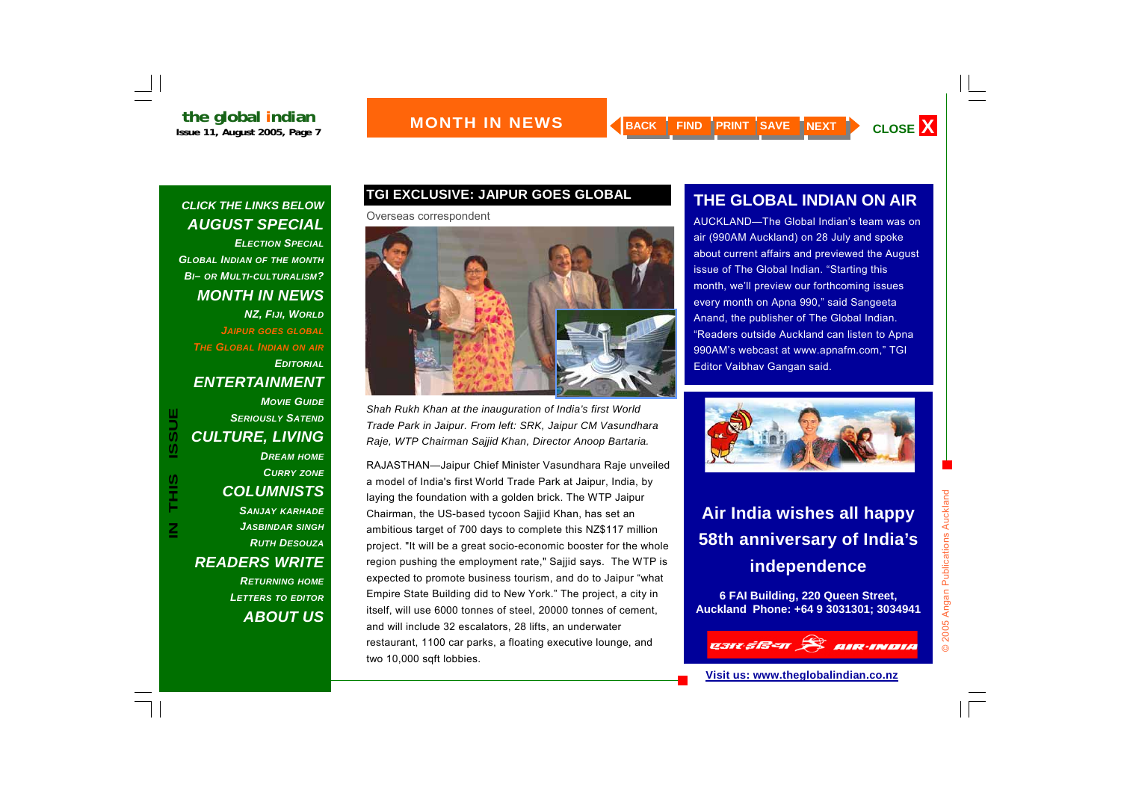*ELECTION SPECIALGLOBAL INDIAN OF THE MONTH BI– OR MULTI-CULTURALISM? MONTH IN NEWS NZ, FIJI, WORLD JAIPUR GOES GLOBAL THE GLOBAL INDIAN ON AIR EDITORIALENTERTAINMENT MOVIE GUIDESERIOUSLY SATENDCULTURE, LIVING DREAM HOME CURRY ZONE*

## *COLUMNISTS*

**IN THIS ISSUE**

S<br>H<br>H

 $\overline{\mathsf{z}}$ 

**ISSUE** 

*SANJAY KARHADE JASBINDAR SINGH RUTH DESOUZAREADERS WRITE RETURNING HOME LETTERS TO EDITOR ABOUT US*

## **TGI EXCLUSIVE: JAIPUR GOES GLOBAL**

Overseas correspondent



*Shah Rukh Khan at the inauguration of India's first World Trade Park in Jaipur. From left: SRK, Jaipur CM Vasundhara Raje, WTP Chairman Sajjid Khan, Director Anoop Bartaria.* 

RAJASTHAN—Jaipur Chief Minister Vasundhara Raje unveiled a model of India's first World Trade Park at Jaipur, India, by laying the foundation with a golden brick. The WTP Jaipur Chairman, the US-based tycoon Sajjid Khan, has set an ambitious target of 700 days to complete this NZ\$117 million project. "It will be a great socio-economic booster for the whole region pushing the employment rate," Sajjid says. The WTP is expected to promote business tourism, and do to Jaipur "what Empire State Building did to New York." The project, a city in itself, will use 6000 tonnes of steel, 20000 tonnes of cement, and will include 32 escalators, 28 lifts, an underwater restaurant, 1100 car parks, a floating executive lounge, and two 10,000 sqft lobbies.

## **THE GLOBAL INDIAN ON AIR**

AUCKLAND—The Global Indian's team was on air (990AM Auckland) on 28 July and spoke about current affairs and previewed the August issue of The Global Indian. "Starting this month, we'll preview our forthcoming issues every month on Apna 990," said Sangeeta Anand, the publisher of The Global Indian. "Readers outside Auckland can listen to Apna 990AM's webcast at www.apnafm.com," TGI Editor Vaibhav Gangan said.



## **Air India wishes all happy 58th anniversary of India's independence**

**6 FAI Building, 220 Queen Street, Auckland Phone: +64 9 3031301; 3034941** 

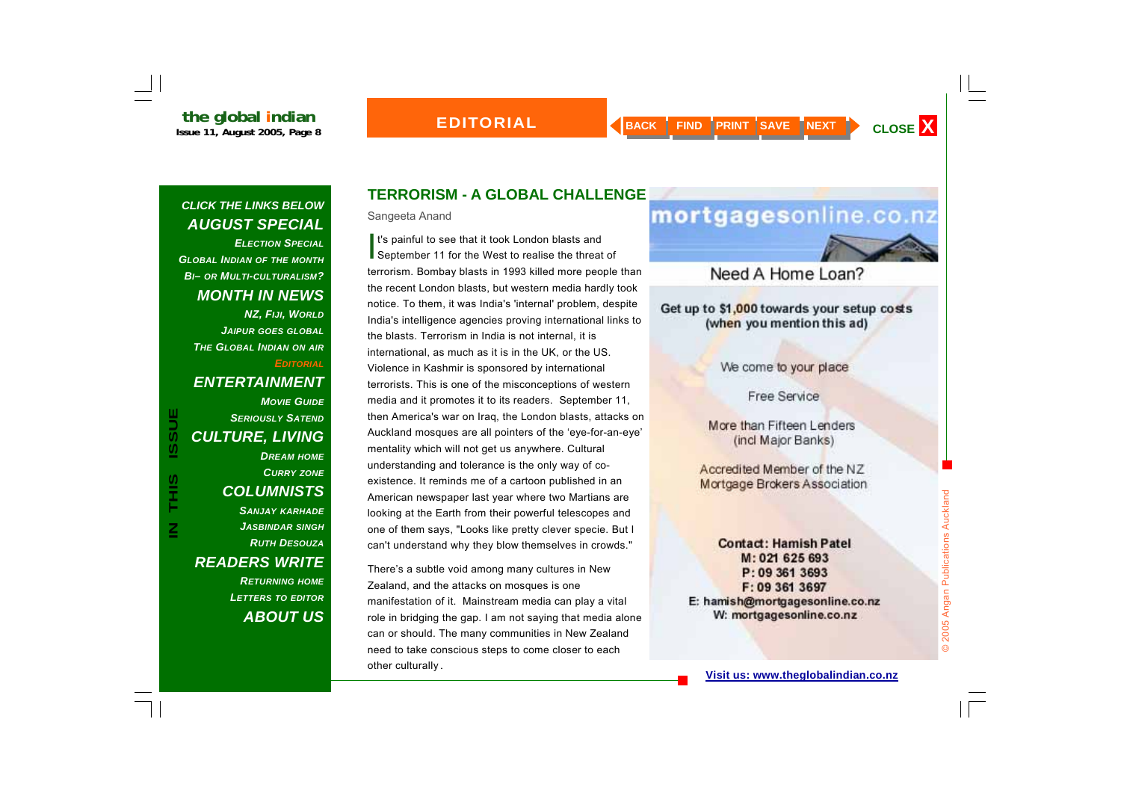## **EDITORIAL**

## *CLICK THE LINKS BELOW AUGUST SPECIAL*

*ELECTION SPECIALGLOBAL INDIAN OF THE MONTH BI– OR MULTI-CULTURALISM? MONTH IN NEWS NZ, FIJI, WORLD JAIPUR GOES GLOBAL THE GLOBAL INDIAN ON AIR EDITORIAL*

## *ENTERTAINMENT*

**IN THIS ISSUE ISSUE** S<br>HH  $\overline{\mathsf{z}}$ 

## *MOVIE GUIDE SERIOUSLY SATENDCULTURE, LIVING DREAM HOME CURRY ZONE COLUMNISTS SANJAY KARHADE JASBINDAR SINGH RUTH DESOUZAREADERS WRITE RETURNING HOME*

*LETTERS TO EDITOR ABOUT US*

## **TERRORISM - A GLOBAL CHALLENGE**

Sangeeta Anand

It's painful to see that it took London blasts and<br>September 11 for the West to realise the threat of terrorism. Bombay blasts in 1993 killed more people than the recent London blasts, but western media hardly took notice. To them, it was India's 'internal' problem, despite India's intelligence agencies proving international links to the blasts. Terrorism in India is not internal, it is international, as much as it is in the UK, or the US. Violence in Kashmir is sponsored by international terrorists. This is one of the misconceptions of western media and it promotes it to its readers. September 11, then America's war on Iraq, the London blasts, attacks on Auckland mosques are all pointers of the 'eye-for-an-eye' mentality which will not get us anywhere. Cultural understanding and tolerance is the only way of coexistence. It reminds me of a cartoon published in an American newspaper last year where two Martians are looking at the Earth from their powerful telescopes and one of them says, "Looks like pretty clever specie. But I can't understand why they blow themselves in crowds."

There's a subtle void among many cultures in New Zealand, and the attacks on mosques is one manifestation of it. Mainstream media can play a vital role in bridging the gap. I am not saying that media alone can or should. The many communities in New Zealand need to take conscious steps to come closer to each other culturally.

## mortgagesonline.co.nz

## Need A Home Loan?

Get up to \$1,000 towards your setup costs (when you mention this ad)

We come to your place

Free Service

More than Fifteen Lenders (incl Major Banks)

Accredited Member of the NZ **Mortgage Brokers Association** 

**Contact: Hamish Patel** M: 021 625 693 P: 09 361 3693 F: 09 361 3697 E: hamish@mortgagesonline.co.nz W: mortgagesonline.co.nz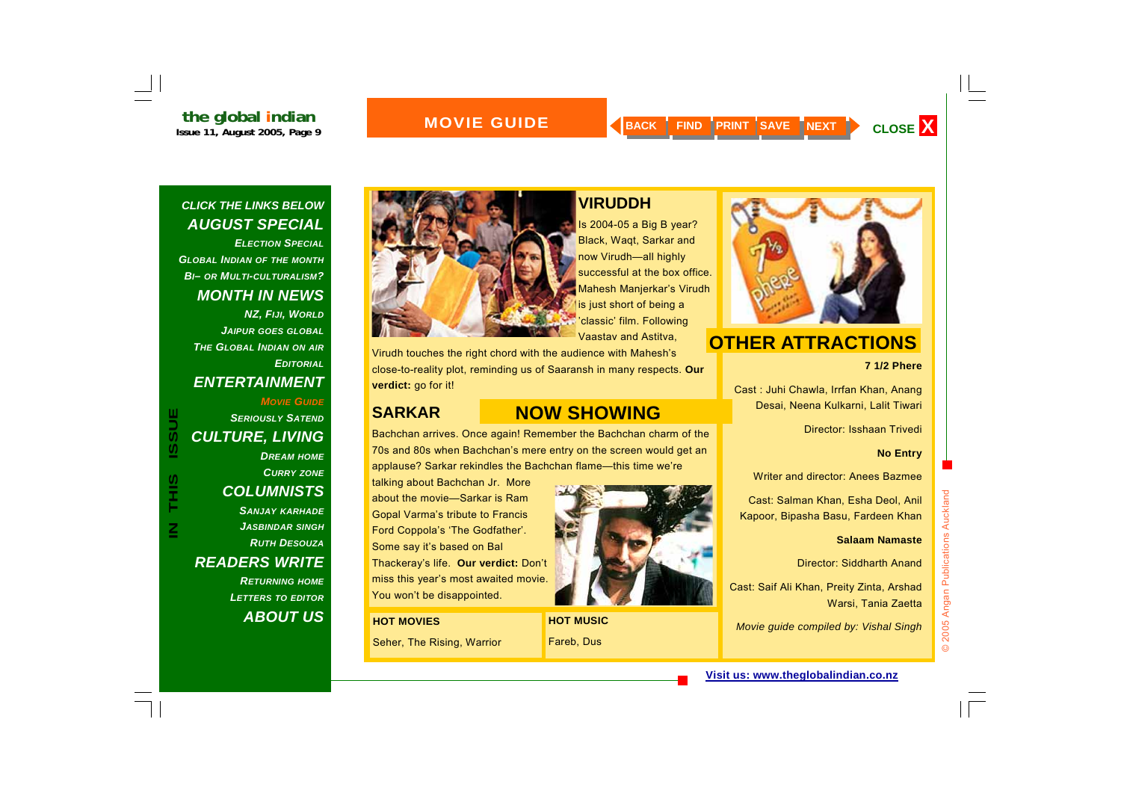### *CLICK THE LINKS BELOW AUGUST SPECIAL*

*ELECTION SPECIALGLOBAL INDIAN OF THE MONTH BI– OR MULTI-CULTURALISM? MONTH IN NEWS NZ, FIJI, WORLD JAIPUR GOES GLOBAL THE GLOBAL INDIAN ON AIR EDITORIALENTERTAINMENT* 

### *MOVIE GUIDESERIOUSLY SATENDCULTURE, LIVING DREAM HOME*

*CURRY ZONE COLUMNISTS SANJAY KARHADE JASBINDAR SINGH RUTH DESOUZAREADERS WRITE* 

*RETURNING HOME LETTERS TO EDITOR ABOUT US*



## **VIRUDDH**

Is 2004-05 a Big B year? Black, Waqt, Sarkar and now Virudh—all highly successful at the box office. Mahesh Manjerkar's Virudh is just short of being a 'classic' film. Following Vaastav and Astitva,

Virudh touches the right chord with the audience with Mahesh's close-to-reality plot, reminding us of Saaransh in many respects. **Our verdict:** go for it!

## **NOW SHOWING**

Bachchan arrives. Once again! Remember the Bachchan charm of the 70s and 80s when Bachchan's mere entry on the screen would get an applause? Sarkar rekindles the Bachchan flame—this time we're

talking about Bachchan Jr. More about the movie—Sarkar is Ram Gopal Varma's tribute to Francis Ford Coppola's 'The Godfather'. Some say it's based on Bal Thackeray's life. **Our verdict:** Don't miss this year's most awaited movie. You won't be disappointed.

#### **HOT MOVIES**

**SARKAR** 

Seher, The Rising, Warrior



**HOT MUSIC**  Fareb, Dus



## **OTHER ATTRACTIONS**

**7 1/2 Phere** 

Cast : Juhi Chawla, Irrfan Khan, Anang Desai, Neena Kulkarni, Lalit Tiwari

Director: Isshaan Trivedi

#### **No Entry**

Writer and director: Anees Bazmee

Cast: Salman Khan, Esha Deol, Anil Kapoor, Bipasha Basu, Fardeen Khan

#### **Salaam Namaste**

Director: Siddharth Anand

Cast: Saif Ali Khan, Preity Zinta, Arshad Warsi, Tania Zaetta

*Movie guide compiled by: Vishal Singh*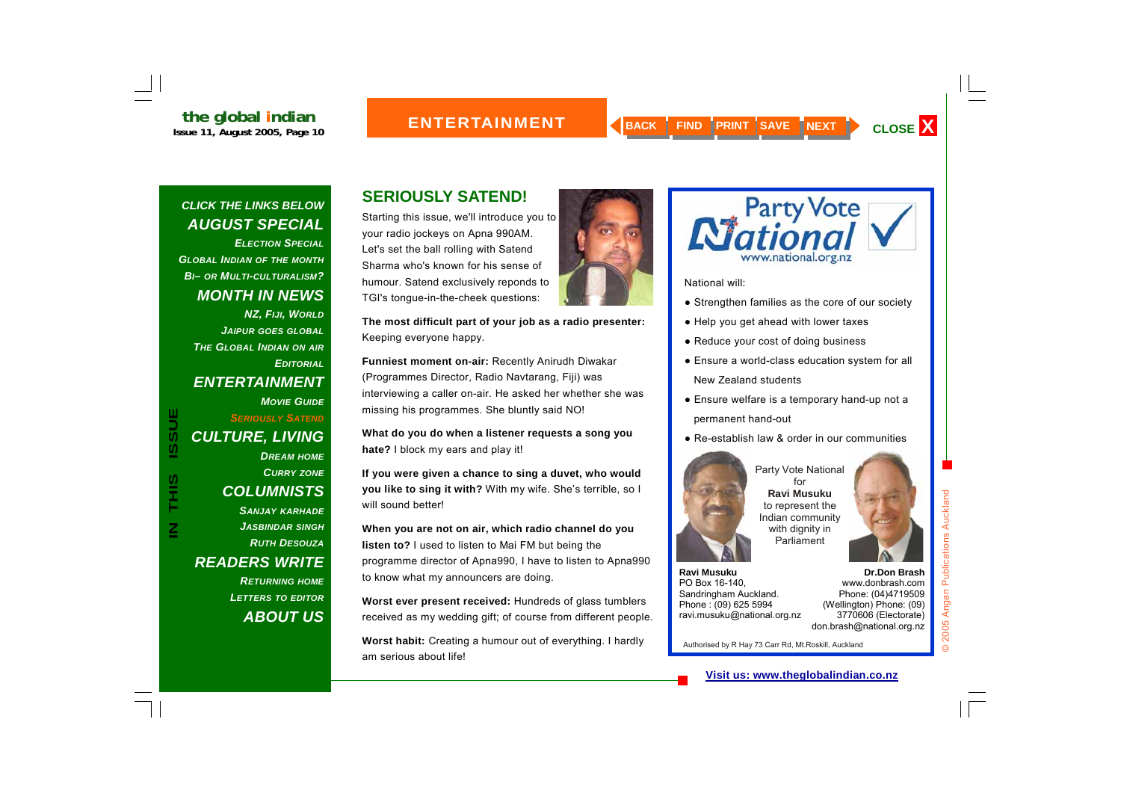*ELECTION SPECIALGLOBAL INDIAN OF THE MONTH BI– OR MULTI-CULTURALISM? MONTH IN NEWS NZ, FIJI, WORLD JAIPUR GOES GLOBAL THE GLOBAL INDIAN ON AIR EDITORIALENTERTAINMENT MOVIE GUIDE SERIOUSLY SATENDCULTURE, LIVING DREAM HOME CURRY ZONE COLUMNISTS SANJAY KARHADE JASBINDAR SINGH RUTH DESOUZAREADERS WRITE RETURNING HOME LETTERS TO EDITOR*

**IN THIS ISSUE**

SH<br>H

 $\overline{\mathsf{z}}$ 

**ISSUE** 

*ABOUT US*

## **SERIOUSLY SATEND!**

Starting this issue, we'll introduce you to your radio jockeys on Apna 990AM. Let's set the ball rolling with Satend Sharma who's known for his sense of humour. Satend exclusively reponds to TGI's tongue-in-the-cheek questions:

**The most difficult part of your job as a radio presenter:**  Keeping everyone happy.

**Funniest moment on-air:** Recently Anirudh Diwakar (Programmes Director, Radio Navtarang, Fiji) was interviewing a caller on-air. He asked her whether she was missing his programmes. She bluntly said NO!

**What do you do when a listener requests a song you hate?** I block my ears and play it!

**If you were given a chance to sing a duvet, who would you like to sing it with?** With my wife. She's terrible, so I will sound better!

**When you are not on air, which radio channel do you listen to?** I used to listen to Mai FM but being the programme director of Apna990, I have to listen to Apna990 to know what my announcers are doing.

**Worst ever present received:** Hundreds of glass tumblers received as my wedding gift; of course from different people.

**Worst habit:** Creating a humour out of everything. I hardly am serious about life!





National will:

- Strengthen families as the core of our society
- Help you get ahead with lower taxes
- Reduce your cost of doing business
- Ensure a world-class education system for all New Zealand students
- Ensure welfare is a temporary hand-up not a permanent hand-out
- Re-establish law & order in our communities

Party Vote National for **Ravi Musuku** 



to represent the Indian community with dignity in Parliament

**Ravi Musuku** PO Box 16-140, Sandringham Auckland. Phone : (09) 625 5994 ravi.musuku@national.org.nz

**Dr.Don Brash** 

www.donbrash.com Phone: (04)4719509 (Wellington) Phone: (09) 3770606 (Electorate) don.brash@national.org.nz © 2005 Angan Publications Auckland

2005 Angan Publications

 $\odot$ 

Auckland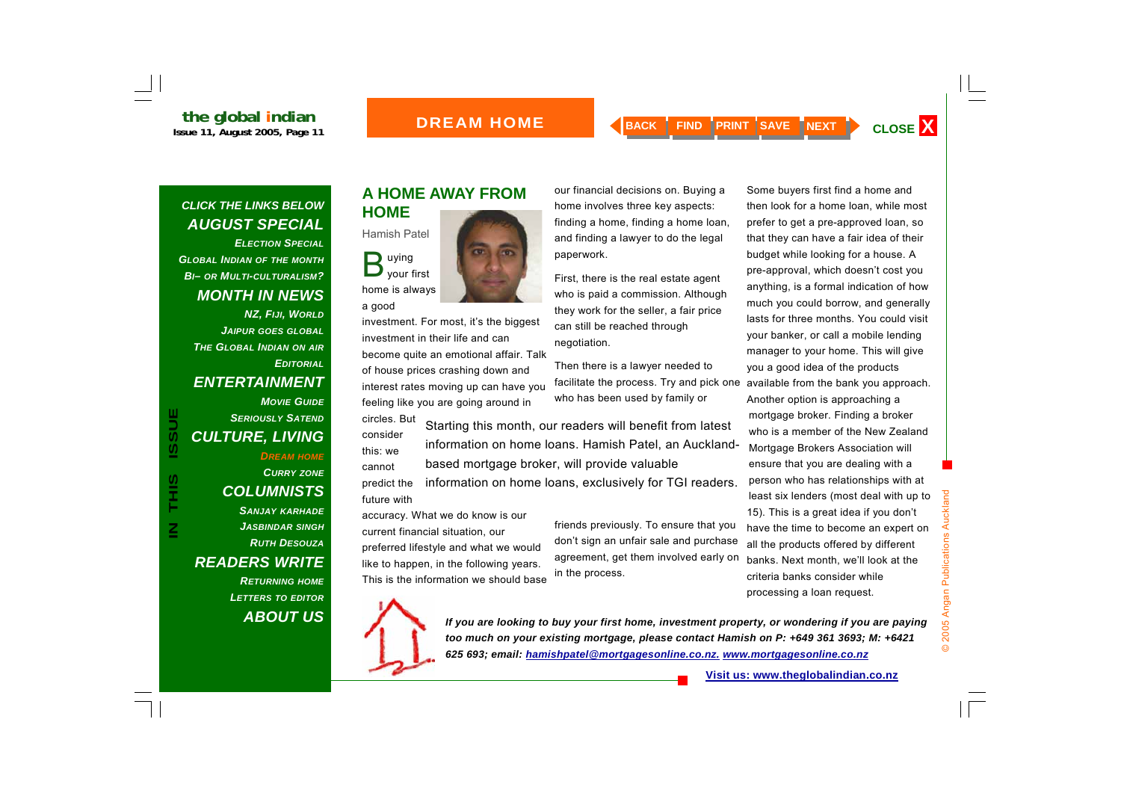### **BOREAM HOME**

our financial decisions on. Buying a home involves three key aspects: finding a home, finding a home loan, and finding a lawyer to do the legal

First, there is the real estate agent who is paid a commission. Although they work for the seller, a fair price

can still be reached through

Then there is a lawyer needed to

who has been used by family or

## *CLICK THE LINKS BELOW AUGUST SPECIAL*

*ELECTION SPECIAL GLOBAL INDIAN OF THE MONTH BI– OR MULTI-CULTURALISM? MONTH IN NEWS NZ, FIJI, WORLD JAIPUR GOES GLOBAL THE GLOBAL INDIAN ON AIR EDITORIALENTERTAINMENT MOVIE GUIDE*

### *CULTURE, LIVING DREAM HOME CURRY ZONE COLUMNISTS SANJAY KARHADE JASBINDAR SINGH*

*SERIOUSLY SATEND*

## *RUTH DESOUZAREADERS WRITE*

*RETURNING HOME LETTERS TO EDITOR ABOUT US*

## **A HOME AWAY FROM HOME**



investment. For most, it's the biggest investment in their life and can become quite an emotional affair. Talk of house prices crashing down and interest rates moving up can have you feeling like you are going around in

circles. But consider this: we cannot Starting this month, our readers will benefit from latest information on home loans. Hamish Patel, an Aucklandbased mortgage broker, will provide valuable

paperwork.

negotiation.

predict the future with information on home loans, exclusively for TGI readers.

accuracy. What we do know is our current financial situation, our preferred lifestyle and what we would like to happen, in the following years. This is the information we should base

friends previously. To ensure that you don't sign an unfair sale and purchase agreement, get them involved early on in the process.

facilitate the process. Try and pick one available from the bank you approach. Some buyers first find a home and then look for a home loan, while most prefer to get a pre-approved loan, so that they can have a fair idea of their budget while looking for a house. A pre-approval, which doesn't cost you anything, is a formal indication of how much you could borrow, and generally lasts for three months. You could visit your banker, or call a mobile lending manager to your home. This will give you a good idea of the products Another option is approaching a mortgage broker. Finding a broker who is a member of the New Zealand Mortgage Brokers Association will ensure that you are dealing with a person who has relationships with at least six lenders (most deal with up to 15). This is a great idea if you don't have the time to become an expert on all the products offered by different banks. Next month, we'll look at the



a good

*If you are looking to buy your first home, investment property, or wondering if you are paying too much on your existing mortgage, please contact Hamish on P: +649 361 3693; M: +6421 625 693; email: hamishpatel@mortgagesonline.co.nz. www.mortgagesonline.co.nz*

criteria banks consider while processing a loan request.

© 2005 Angan Publications Auckland

2005 Angan Publications Auckland

 $\odot$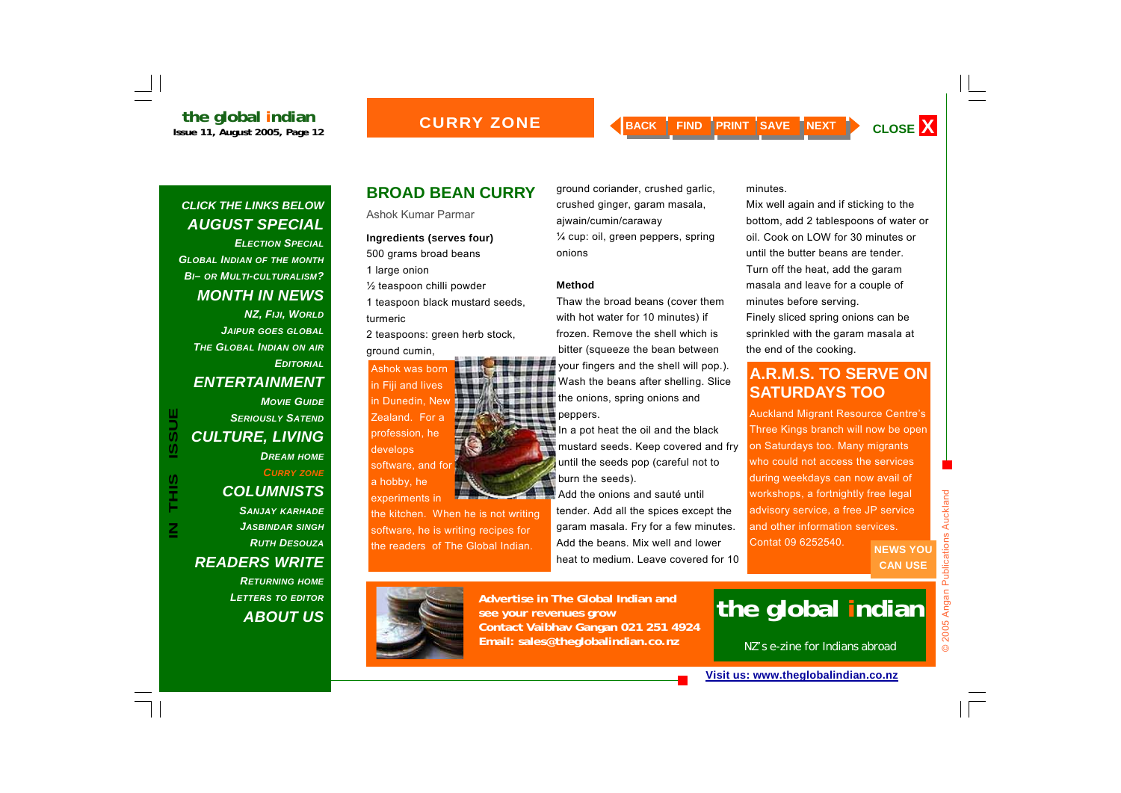*ELECTION SPECIALGLOBAL INDIAN OF THE MONTH BI– OR MULTI-CULTURALISM? MONTH IN NEWS NZ, FIJI, WORLD JAIPUR GOES GLOBAL THE GLOBAL INDIAN ON AIR EDITORIALENTERTAINMENT MOVIE GUIDESERIOUSLY SATENDCULTURE, LIVING* 

## *DREAM HOME*

**IN THIS ISSUE**

S<br>H<br>H<br>H

 $\overline{\mathsf{z}}$ 

**ISSUE** 

*CURRY ZONE*

## *COLUMNISTS*

*SANJAY KARHADE JASBINDAR SINGH RUTH DESOUZAREADERS WRITE* 

> *RETURNING HOME LETTERS TO EDITOR ABOUT US*

## **BROAD BEAN CURRY**

Ashok Kumar Parmar

## **Ingredients (serves four)**

500 grams broad beans 1 large onion

½ teaspoon chilli powder

1 teaspoon black mustard seeds, turmeric

2 teaspoons: green herb stock, ground cumin,

Ashok was born in Fiji and lives in Dunedin, New Zealand. For a profession, he develops software, and for a hobby, he

experiments in

the kitchen. When he is not writing software, he is writing recipes for the readers of The Global Indian.

ground coriander, crushed garlic, crushed ginger, garam masala, ajwain/cumin/caraway ¼ cup: oil, green peppers, spring onions

#### **Method**

Thaw the broad beans (cover them with hot water for 10 minutes) if frozen. Remove the shell which is bitter (squeeze the bean between your fingers and the shell will pop.). Wash the beans after shelling. Slice the onions, spring onions and peppers.

In a pot heat the oil and the black mustard seeds. Keep covered and fry until the seeds pop (careful not to burn the seeds).

Add the onions and sauté until tender. Add all the spices except the garam masala. Fry for a few minutes. Add the beans. Mix well and lower heat to medium. Leave covered for 10

minutes.

Mix well again and if sticking to the bottom, add 2 tablespoons of water or oil. Cook on LOW for 30 minutes or until the butter beans are tender. Turn off the heat, add the garam masala and leave for a couple of minutes before serving.

Finely sliced spring onions can be sprinkled with the garam masala at the end of the cooking.

## **A.R.M.S. TO SERVE ON SATURDAYS TOO**

Auckland Migrant Resource Centre's Three Kings branch will now be open on Saturdays too. Many migrants who could not access the services during weekdays can now avail of workshops, a fortnightly free legal advisory service, a free JP service and other information services. Contat 09 6252540.

**NEWS YOU CAN USE** 



**Advertise in The Global Indian and see your revenues grow Contact Vaibhav Gangan 021 251 4924 Email: sales@theglobalindian.co.nz**

## **the global indian**

NZ's e-zine for Indians abroad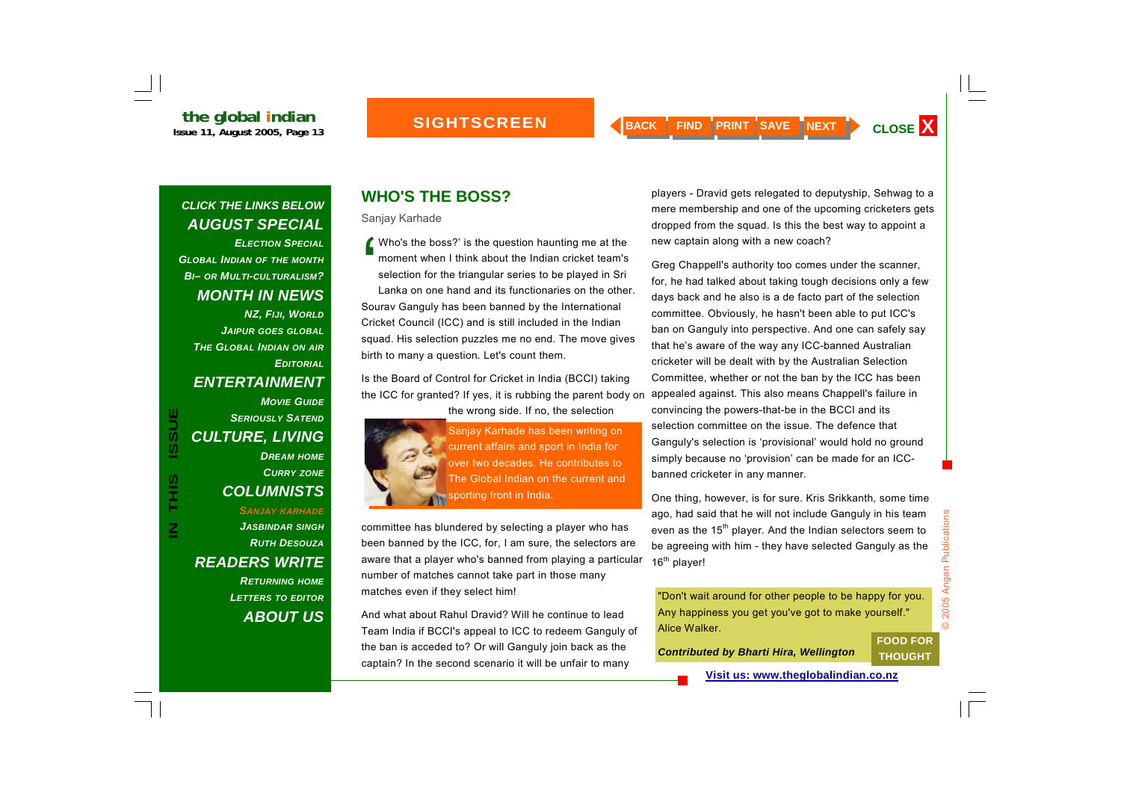*ELECTION SPECIAL GLOBAL INDIAN OF THE MONTH BI– OR MULTI-CULTURALISM? MONTH IN NEWS NZ, FIJI, WORLD JAIPUR GOES GLOBAL THE GLOBAL INDIAN ON AIR EDITORIALENTERTAINMENT MOVIE GUIDESERIOUSLY SATENDCULTURE, LIVING DREAM HOME CURRY ZONE*

## *COLUMNISTS*

*SANJAY KARHADE JASBINDAR SINGH RUTH DESOUZAREADERS WRITE RETURNING HOME LETTERS TO EDITOR ABOUT US*

## **WHO'S THE BOSS?**

Sanjay Karhade

'Who's the boss?' is the question haunting me at the moment when I think about the Indian cricket team's selection for the triangular series to be played in Sri Lanka on one hand and its functionaries on the other. Sourav Ganguly has been banned by the International Cricket Council (ICC) and is still included in the Indian squad. His selection puzzles me no end. The move gives birth to many a question. Let's count them.

Is the Board of Control for Cricket in India (BCCI) taking the ICC for granted? If yes, it is rubbing the parent body on appealed against. This also means Chappell's failure in the wrong side. If no, the selection



**IN SERIOUSLY SATEND**<br> **IN CULTURE, LIVING**<br> *IN DREAM HOME*<br> *IN DREAM HOME*<br> *CURRY ZONE*<br>
COLUMNISTS<br>
SANJAY KARHADE<br>
JASBINDAR SINGH committee has blundered by selecting a player who has

committee has blundered by selecting a player who has been banned by the ICC, for, I am sure, the selectors are aware that a player who's banned from playing a particular number of matches cannot take part in those many matches even if they select him!

And what about Rahul Dravid? Will he continue to lead Team India if BCCI's appeal to ICC to redeem Ganguly of the ban is acceded to? Or will Ganguly join back as the captain? In the second scenario it will be unfair to many

players - Dravid gets relegated to deputyship, Sehwag to a mere membership and one of the upcoming cricketers gets dropped from the squad. Is this the best way to appoint a new captain along with a new coach?

Greg Chappell's authority too comes under the scanner, for, he had talked about taking tough decisions only a few days back and he also is a de facto part of the selection committee. Obviously, he hasn't been able to put ICC's ban on Ganguly into perspective. And one can safely say that he's aware of the way any ICC-banned Australian cricketer will be dealt with by the Australian Selection Committee, whether or not the ban by the ICC has been convincing the powers-that-be in the BCCI and its selection committee on the issue. The defence that Ganguly's selection is 'provisional' would hold no ground simply because no 'provision' can be made for an ICCbanned cricketer in any manner.

One thing, however, is for sure. Kris Srikkanth, some time ago, had said that he will not include Ganguly in his team even as the 15<sup>th</sup> player. And the Indian selectors seem to be agreeing with him - they have selected Ganguly as the 16<sup>th</sup> player!

"Don't wait around for other people to be happy for you. Any happiness you get you've got to make yourself." Alice Walker.

*Contributed by Bharti Hira, Wellington* 

**FOOD FOR THOUGHT**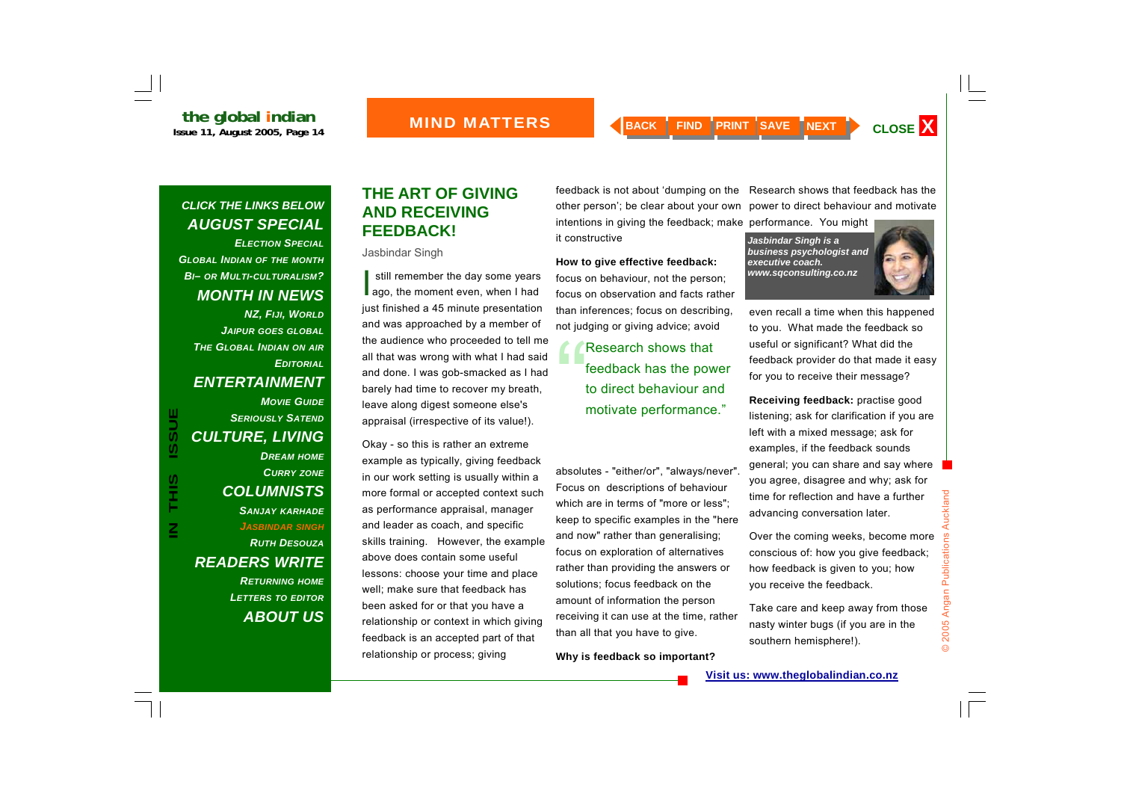*ELECTION SPECIALGLOBAL INDIAN OF THE MONTH BI– OR MULTI-CULTURALISM? MONTH IN NEWS NZ, FIJI, WORLD JAIPUR GOES GLOBAL THE GLOBAL INDIAN ON AIR EDITORIALENTERTAINMENT MOVIE GUIDE SERIOUSLY SATENDCULTURE, LIVING DREAM HOME CURRY ZONE COLUMNISTS SANJAY KARHADE JASBINDAR SINGH RUTH DESOUZAREADERS WRITE RETURNING HOME LETTERS TO EDITOR ABOUT US*

## **THE ART OF GIVING AND RECEIVING FEEDBACK!**

#### Jasbindar Singh

still remember the day some years ago, the moment even, when I had just finished a 45 minute presentation and was approached by a member of the audience who proceeded to tell me all that was wrong with what I had said and done. I was gob-smacked as I had barely had time to recover my breath, leave along digest someone else's appraisal (irrespective of its value!).

Okay - so this is rather an extreme example as typically, giving feedback in our work setting is usually within a more formal or accepted context such as performance appraisal, manager and leader as coach, and specific skills training. However, the example above does contain some useful lessons: choose your time and place well; make sure that feedback has been asked for or that you have a relationship or context in which giving feedback is an accepted part of that relationship or process; giving

intentions in giving the feedback; make performance. You might it constructive

#### **How to give effective feedback:**

focus on behaviour, not the person; focus on observation and facts rather than inferences; focus on describing, not judging or giving advice; avoid

> Research shows that<br>feedback has the power to direct behaviour and motivate performance."

absolutes - "either/or", "always/never". Focus on descriptions of behaviour which are in terms of "more or less"; keep to specific examples in the "here and now" rather than generalising; focus on exploration of alternatives rather than providing the answers or solutions; focus feedback on the amount of information the person receiving it can use at the time, rather than all that you have to give.

**Why is feedback so important?** 

feedback is not about 'dumping on the Research shows that feedback has the other person'; be clear about your own power to direct behaviour and motivate

> *Jasbindar Singh is a business psychologist and executive coach. www.sqconsulting.co.nz*



even recall a time when this happened to you. What made the feedback so useful or significant? What did the feedback provider do that made it easy for you to receive their message?

**Receiving feedback:** practise good listening; ask for clarification if you are left with a mixed message; ask for examples, if the feedback sounds general; you can share and say where you agree, disagree and why; ask for time for reflection and have a further advancing conversation later.

Over the coming weeks, become more conscious of: how you give feedback; how feedback is given to you; how you receive the feedback.

Take care and keep away from those nasty winter bugs (if you are in the southern hemisphere!).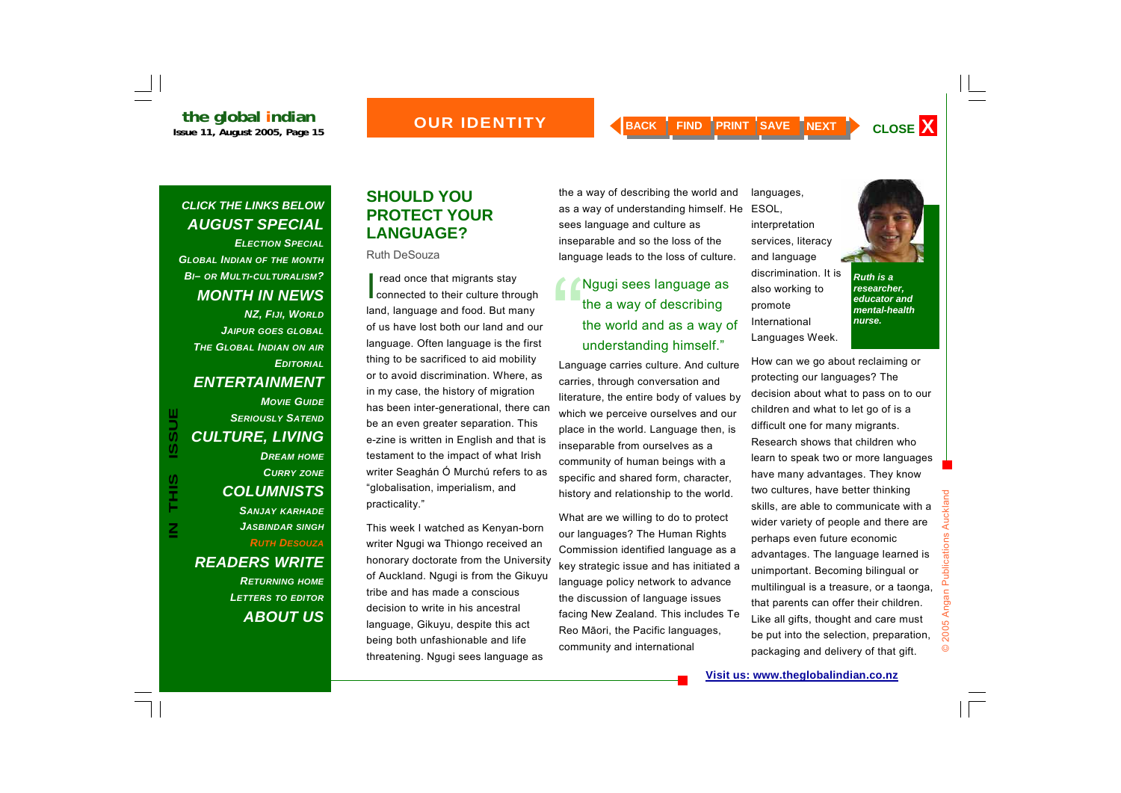**the global indian**<br>Issue 11, August 2005, Page 15

*ELECTION SPECIALGLOBAL INDIAN OF THE MONTH BI– OR MULTI-CULTURALISM? MONTH IN NEWS NZ, FIJI, WORLD JAIPUR GOES GLOBAL THE GLOBAL INDIAN ON AIR EDITORIALENTERTAINMENT MOVIE GUIDESERIOUSLY SATENDCULTURE, LIVING DREAM HOME CURRY ZONE COLUMNISTS SANJAY KARHADE JASBINDAR SINGH RUTH DESOUZA READERS WRITE* 

**IN THIS ISSUE**

S<br>H<br>H

 $\overline{\mathsf{z}}$ 

**ISSUE** 

*RETURNING HOME LETTERS TO EDITOR ABOUT US*

## **SHOULD YOU PROTECT YOUR LANGUAGE?**

Ruth DeSouza

I read once that migrants stay<br>connected to their culture through land, language and food. But many of us have lost both our land and our language. Often language is the first thing to be sacrificed to aid mobility or to avoid discrimination. Where, as in my case, the history of migration has been inter-generational, there can be an even greater separation. This e-zine is written in English and that is testament to the impact of what Irish writer Seaghán Ó Murchú refers to as "globalisation, imperialism, and practicality."

This week I watched as Kenyan-born writer Ngugi wa Thiongo received an honorary doctorate from the University of Auckland. Ngugi is from the Gikuyu tribe and has made a conscious decision to write in his ancestral language, Gikuyu, despite this act being both unfashionable and life threatening. Ngugi sees language as

the a way of describing the world and as a way of understanding himself. He sees language and culture as inseparable and so the loss of the language leads to the loss of culture.

## Ngugi sees language as<br>the a way of describing the world and as a way of understanding himself."

Language carries culture. And culture carries, through conversation and literature, the entire body of values by which we perceive ourselves and our place in the world. Language then, is inseparable from ourselves as a community of human beings with a specific and shared form, character, history and relationship to the world.

What are we willing to do to protect our languages? The Human Rights Commission identified language as a key strategic issue and has initiated a language policy network to advance the discussion of language issues facing New Zealand. This includes Te Reo M āori, the Pacific languages, community and international

ESOL, interpretation services, literacy and language discrimination. It is also working to promote International Languages Week.

How can we go about reclaiming or

languages,

*Ruth is a researcher, educator and mental-health nurse.* 

protecting our languages? The decision about what to pass on to our children and what to let go of is a difficult one for many migrants. Research shows that children who learn to speak two or more languages have many advantages. They know two cultures, have better thinking skills, are able to communicate with a wider variety of people and there are 2005 Angan Publications perhaps even future economic advantages. The language learned is unimportant. Becoming bilingual or multilingual is a treasure, or a taonga, that parents can offer their children. Like all gifts, thought and care must be put into the selection, preparation,  $\odot$ packaging and delivery of that gift.

© 2005 Angan Publications Auckland

Auckland

**Visit us: www.theglobalindian.co.nz**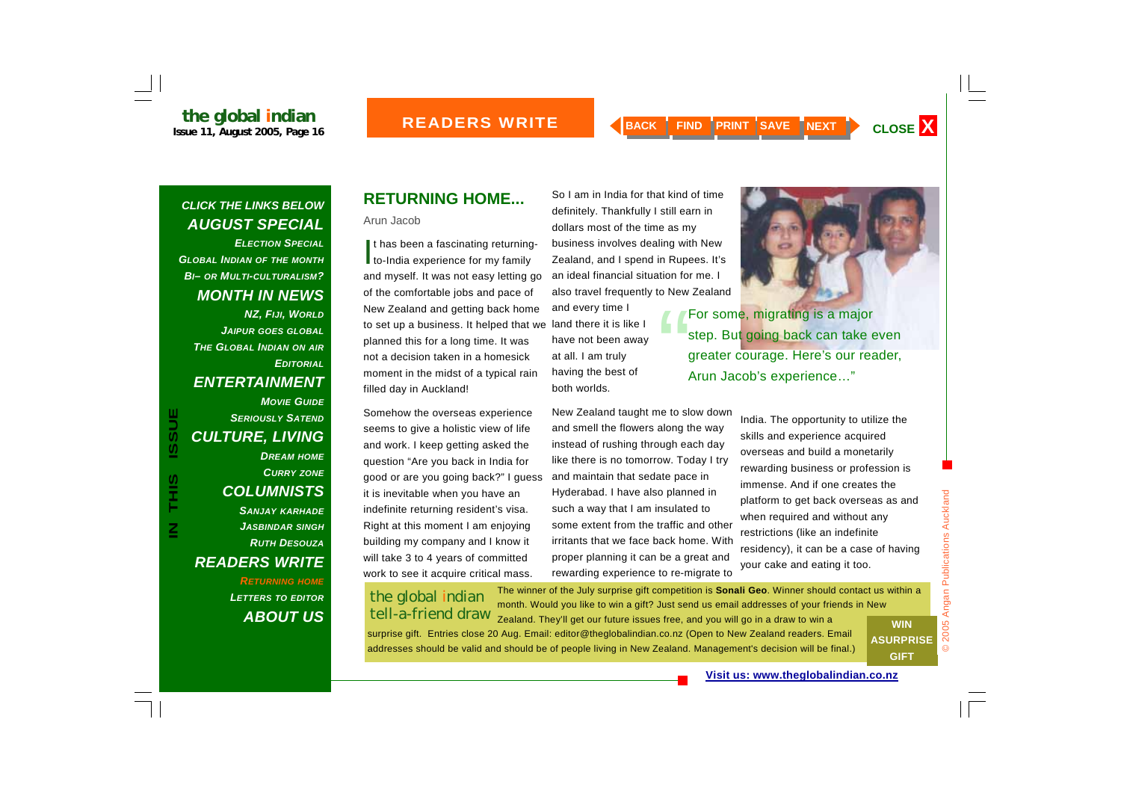So I am in India for that kind of time definitely. Thankfully I still earn in dollars most of the time as my

business involves dealing with New

New Zealand taught me to slow down and smell the flowers along the way instead of rushing through each day like there is no tomorrow. Today I try and maintain that sedate pace in Hyderabad. I have also planned in such a way that I am insulated to

some extent from the traffic and other irritants that we face back home. With proper planning it can be a great and rewarding experience to re-migrate to

and every time I land there it is like I have not been away

at all. I am truly having the best of

both worlds.

## *CLICK THE LINKS BELOW AUGUST SPECIAL*

*ELECTION SPECIALGLOBAL INDIAN OF THE MONTH BI– OR MULTI-CULTURALISM? MONTH IN NEWS NZ, FIJI, WORLD JAIPUR GOES GLOBAL THE GLOBAL INDIAN ON AIR EDITORIALENTERTAINMENT MOVIE GUIDE SERIOUSLY SATENDCULTURE, LIVING DREAM HOME CURRY ZONE*

*COLUMNISTS SANJAY KARHADE JASBINDAR SINGH RUTH DESOUZAREADERS WRITE* 

**IN THIS ISSUE**

S<br>H<br>H

 $\overline{\mathsf{z}}$ 

**ISSUE** 

*RETURNING HOME LETTERS TO EDITOR ABOUT US*

## **RETURNING HOME...**

Arun Jacob

It has been a fascinating returning-<br>to-India experience for my family and myself. It was not easy letting go of the comfortable jobs and pace of New Zealand and getting back home to set up a business. It helped that we planned this for a long time. It was not a decision taken in a homesick moment in the midst of a typical rain filled day in Auckland!

Somehow the overseas experience seems to give a holistic view of life and work. I keep getting asked the question "Are you back in India for good or are you going back?" I guess it is inevitable when you have an indefinite returning resident's visa. Right at this moment I am enjoying building my company and I know it will take 3 to 4 years of committed work to see it acquire critical mass.

## the global indian tell-a-friend draw

The winner of the July surprise gift competition is **Sonali Geo**. Winner should contact us within a month. Would you like to win a gift? Just send us email addresses of your friends in New Zealand. They'll get our future issues free, and you will go in a draw to win a **WIN** 

surprise gift. Entries close 20 Aug. Email: editor@theglobalindian.co.nz (Open to New Zealand readers. Email addresses should be valid and should be of people living in New Zealand. Management's decision will be final.)

**ASURPRISE GIFT** 

#### **Visit us: www.theglobalindian.co.nz**

© 2005 Angan Publications Auckland

 $\odot$ 

2005 Angan Publications Auckland

## Zealand, and I spend in Rupees. It's an ideal financial situation for me. I also travel frequently to New Zealand For some, migrating is a major<br>step. But going back can take even greater courage. Here's our reader, Arun Jacob's experience…"

India. The opportunity to utilize the skills and experience acquired overseas and build a monetarily rewarding business or profession is immense. And if one creates the platform to get back overseas as and when required and without any restrictions (like an indefinite residency), it can be a case of having your cake and eating it too.

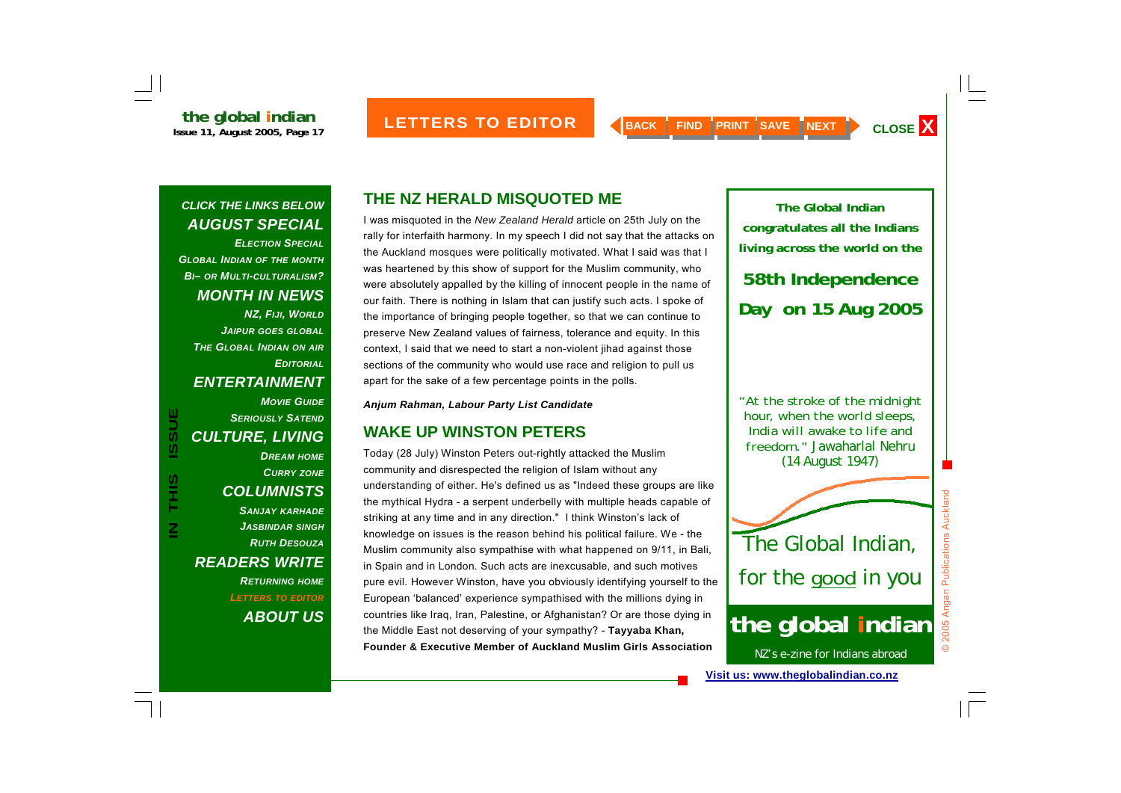*ELECTION SPECIALGLOBAL INDIAN OF THE MONTH BI– OR MULTI-CULTURALISM? MONTH IN NEWS NZ, FIJI, WORLD JAIPUR GOES GLOBAL THE GLOBAL INDIAN ON AIR EDITORIALENTERTAINMENT MOVIE GUIDESERIOUSLY SATENDCULTURE, LIVING DREAM HOME CURRY ZONE*

## *COLUMNISTS SANJAY KARHADE JASBINDAR SINGH RUTH DESOUZAREADERS WRITE RETURNING HOME LETTERS TO EDITOR ABOUT US*

**IN THIS ISSUE**

THIS

 $\overline{\mathbf{z}}$ 

**ISSUE** 

## **THE NZ HERALD MISQUOTED ME**

I was misquoted in the *New Zealand Herald* article on 25th July on the rally for interfaith harmony. In my speech I did not say that the attacks on the Auckland mosques were politically motivated. What I said was that I was heartened by this show of support for the Muslim community, who were absolutely appalled by the killing of innocent people in the name of our faith. There is nothing in Islam that can justify such acts. I spoke of the importance of bringing people together, so that we can continue to preserve New Zealand values of fairness, tolerance and equity. In this context, I said that we need to start a non-violent jihad against those sections of the community who would use race and religion to pull us apart for the sake of a few percentage points in the polls.

*Anjum Rahman, Labour Party List Candidate* 

## **WAKE UP WINSTON PETERS**

Today (28 July) Winston Peters out-rightly attacked the Muslim community and disrespected the religion of Islam without any understanding of either. He's defined us as "Indeed these groups are like the mythical Hydra - a serpent underbelly with multiple heads capable of striking at any time and in any direction." I think Winston's lack of knowledge on issues is the reason behind his political failure. We - the Muslim community also sympathise with what happened on 9/11, in Bali, in Spain and in London. Such acts are inexcusable, and such motives pure evil. However Winston, have you obviously identifying yourself to the European 'balanced' experience sympathised with the millions dying in countries like Iraq, Iran, Palestine, or Afghanistan? Or are those dying in the Middle East not deserving of your sympathy? - **Tayyaba Khan, Founder & Executive Member of Auckland Muslim Girls Association** 

**congratulates all the Indians living across the world on the 58th Independence Day on 15 Aug 2005** 

**The Global Indian** 

*"At the stroke of the midnight hour, when the world sleeps, India will awake to life and freedom."* Jawaharlal Nehru (14 August 1947)

## The Global Indian, for the *good* in you

## **the global indian**

NZ's e-zine for Indians abroad